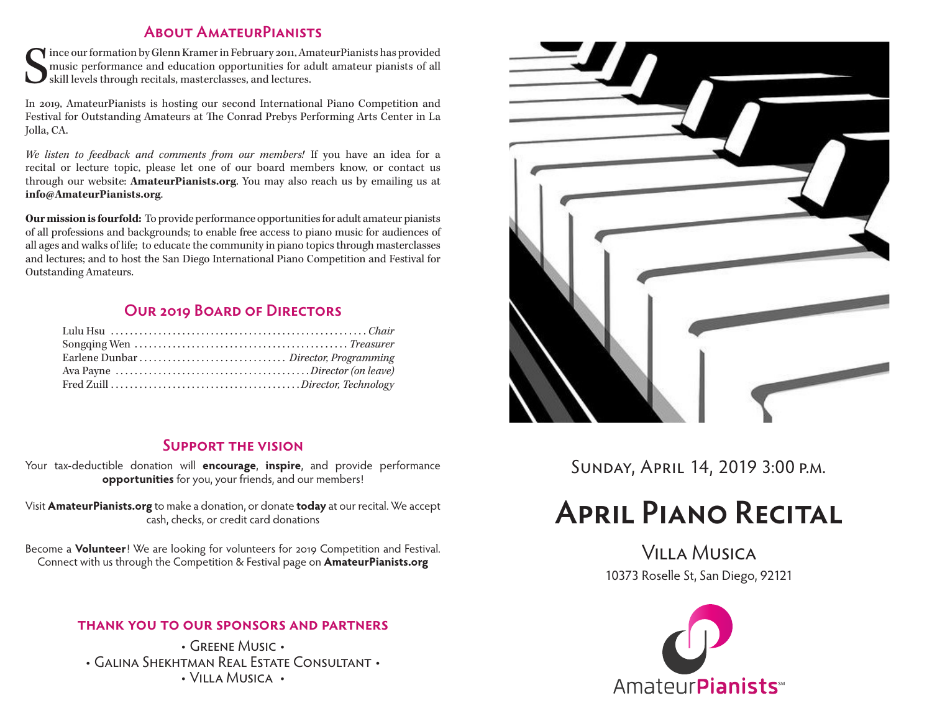#### **About AmateurPianists**

S ince our formation by Glenn Kramer in February 2011, AmateurPianists has provided music performance and education opportunities for adult amateur pianists of all skill levels through recitals, masterclasses, and lectures.

In 2019, AmateurPianists is hosting our second International Piano Competition and Festival for Outstanding Amateurs at The Conrad Prebys Performing Arts Center in La Jolla, CA.

*We listen to feedback and comments from our members!* If you have an idea for a recital or lecture topic, please let one of our board members know, or contact us through our website: **AmateurPianists.org**. You may also reach us by emailing us at **info@AmateurPianists.org**.

**Our mission is fourfold:** To provide performance opportunities for adult amateur pianists of all professions and backgrounds; to enable free access to piano music for audiences of all ages and walks of life; to educate the community in piano topics through masterclasses and lectures; and to host the San Diego International Piano Competition and Festival for Outstanding Amateurs.

#### **Our 2019 Board of Directors**

#### **Support the vision**

Your tax-deductible donation will **encourage**, **inspire**, and provide performance **opportunities** for you, your friends, and our members!

Visit **AmateurPianists.org** to make a donation, or donate **today** at our recital. We accept cash, checks, or credit card donations

Become a **Volunteer**! We are looking for volunteers for 2019 Competition and Festival. Connect with us through the Competition & Festival page on **AmateurPianists.org**

#### **thank you to our sponsors and partners**

• Greene Music • • Galina Shekhtman Real Estate Consultant • • Villa Musica •



Sunday, April 14, 2019 3:00 p.m.

# **April Piano Recital**

Villa Musica 10373 Roselle St, San Diego, 92121